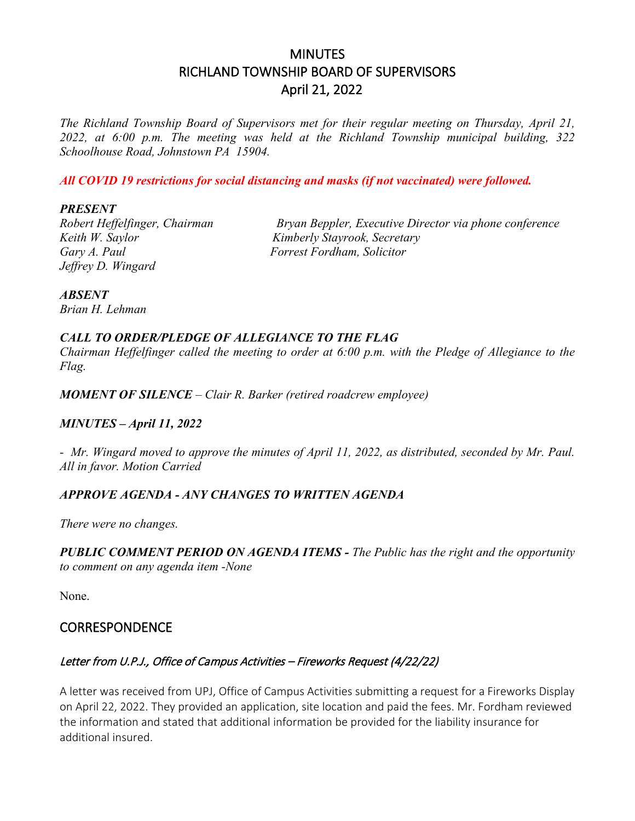# **MINUTES** RICHLAND TOWNSHIP BOARD OF SUPERVISORS April 21, 2022

*The Richland Township Board of Supervisors met for their regular meeting on Thursday, April 21, 2022, at 6:00 p.m. The meeting was held at the Richland Township municipal building, 322 Schoolhouse Road, Johnstown PA 15904.*

*All COVID 19 restrictions for social distancing and masks (if not vaccinated) were followed.*

#### *PRESENT*

*Keith W. Saylor Kimberly Stayrook, Secretary Gary A. Paul Forrest Fordham, Solicitor Jeffrey D. Wingard* 

*Robert Heffelfinger, Chairman Bryan Beppler, Executive Director via phone conference*

*ABSENT*

*Brian H. Lehman* 

#### *CALL TO ORDER/PLEDGE OF ALLEGIANCE TO THE FLAG*

*Chairman Heffelfinger called the meeting to order at 6:00 p.m. with the Pledge of Allegiance to the Flag.*

*MOMENT OF SILENCE – Clair R. Barker (retired roadcrew employee)*

#### *MINUTES – April 11, 2022*

*- Mr. Wingard moved to approve the minutes of April 11, 2022, as distributed, seconded by Mr. Paul. All in favor. Motion Carried*

#### *APPROVE AGENDA - ANY CHANGES TO WRITTEN AGENDA*

*There were no changes.*

*PUBLIC COMMENT PERIOD ON AGENDA ITEMS - The Public has the right and the opportunity to comment on any agenda item -None* 

None.

#### **CORRESPONDENCE**

#### Letter from U.P.J., Office of Campus Activities – Fireworks Request (4/22/22)

A letter was received from UPJ, Office of Campus Activities submitting a request for a Fireworks Display on April 22, 2022. They provided an application, site location and paid the fees. Mr. Fordham reviewed the information and stated that additional information be provided for the liability insurance for additional insured.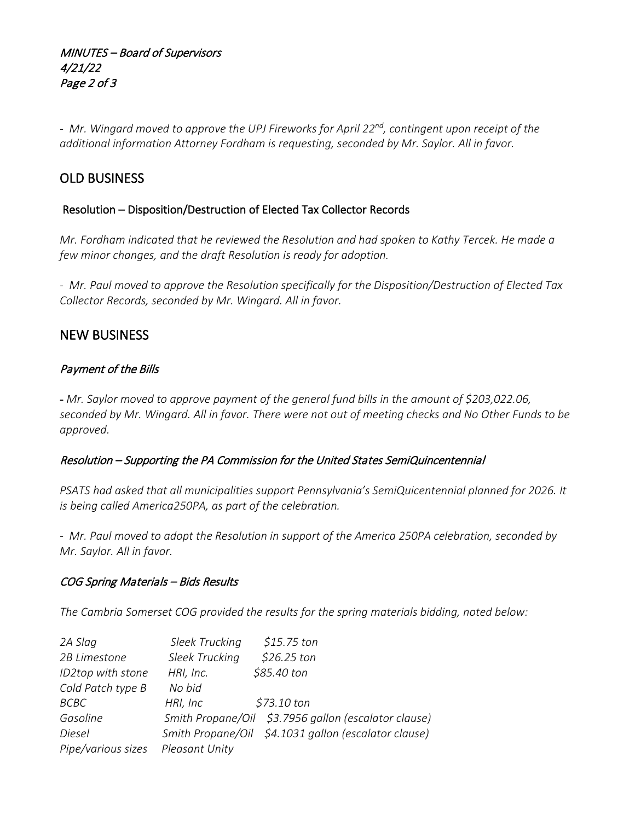MINUTES – Board of Supervisors 4/21/22 Page 2 of 3

*- Mr. Wingard moved to approve the UPJ Fireworks for April 22nd, contingent upon receipt of the additional information Attorney Fordham is requesting, seconded by Mr. Saylor. All in favor.*

## OLD BUSINESS

#### Resolution – Disposition/Destruction of Elected Tax Collector Records

*Mr. Fordham indicated that he reviewed the Resolution and had spoken to Kathy Tercek. He made a few minor changes, and the draft Resolution is ready for adoption.*

*- Mr. Paul moved to approve the Resolution specifically for the Disposition/Destruction of Elected Tax Collector Records, seconded by Mr. Wingard. All in favor.*

## NEW BUSINESS

#### Payment of the Bills

- *Mr. Saylor moved to approve payment of the general fund bills in the amount of \$203,022.06, seconded by Mr. Wingard. All in favor. There were not out of meeting checks and No Other Funds to be approved.*

#### Resolution – Supporting the PA Commission for the United States SemiQuincentennial

*PSATS had asked that all municipalities support Pennsylvania's SemiQuicentennial planned for 2026. It is being called America250PA, as part of the celebration.*

*- Mr. Paul moved to adopt the Resolution in support of the America 250PA celebration, seconded by Mr. Saylor. All in favor.*

#### COG Spring Materials – Bids Results

*The Cambria Somerset COG provided the results for the spring materials bidding, noted below:*

| 2A Slag                            | Sleek Trucking | \$15.75 ton                                          |
|------------------------------------|----------------|------------------------------------------------------|
| 2B Limestone                       | Sleek Trucking | \$26.25 ton                                          |
| ID2top with stone                  | HRI, Inc.      | \$85.40 ton                                          |
| Cold Patch type B                  | No bid         |                                                      |
| <b>BCBC</b>                        | HRI, Inc       | \$73.10 ton                                          |
| Gasoline                           |                | Smith Propane/Oil \$3.7956 gallon (escalator clause) |
| Diesel                             |                | Smith Propane/Oil \$4.1031 gallon (escalator clause) |
| Pipe/various sizes  Pleasant Unity |                |                                                      |